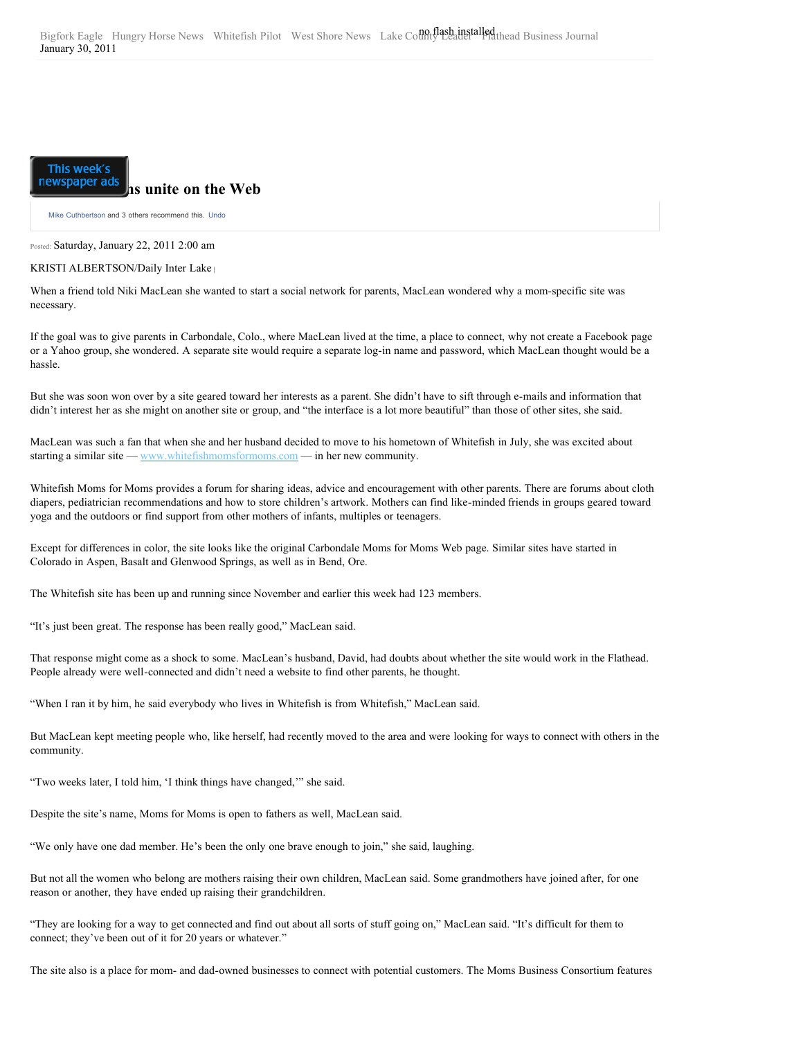## This week's

## **newspaper ads** as unite on the Web

[Mike Cuthbertson](http://www.facebook.com/cuthbertsonmike) and 3 others recommend this. Undo

Posted: Saturday, January 22, 2011 2:00 am

## KRISTI ALBERTSON/Daily Inter Lake **<sup>|</sup>**

When a friend told Niki MacLean she wanted to start a social network for parents, MacLean wondered why a mom-specific site was necessary.

If the goal was to give parents in Carbondale, Colo., where MacLean lived at the time, a place to connect, why not create a Facebook page or a Yahoo group, she wondered. A separate site would require a separate log-in name and password, which MacLean thought would be a hassle.

But she was soon won over by a site geared toward her interests as a parent. She didn't have to sift through e-mails and information that didn't interest her as she might on another site or group, and "the interface is a lot more beautiful" than those of other sites, she said.

MacLean was such a fan that when she and her husband decided to move to his hometown of Whitefish in July, she was excited about starting a similar site — [www.whitefishmomsformoms.com](http://www.whitefishmomsformoms.com/) — in her new community.

Whitefish Moms for Moms provides a forum for sharing ideas, advice and encouragement with other parents. There are forums about cloth diapers, pediatrician recommendations and how to store children's artwork. Mothers can find like-minded friends in groups geared toward yoga and the outdoors or find support from other mothers of infants, multiples or teenagers.

Except for differences in color, the site looks like the original Carbondale Moms for Moms Web page. Similar sites have started in Colorado in Aspen, Basalt and Glenwood Springs, as well as in Bend, Ore.

The Whitefish site has been up and running since November and earlier this week had 123 members.

"It's just been great. The response has been really good," MacLean said.

That response might come as a shock to some. MacLean's husband, David, had doubts about whether the site would work in the Flathead. People already were well-connected and didn't need a website to find other parents, he thought.

"When I ran it by him, he said everybody who lives in Whitefish is from Whitefish," MacLean said.

But MacLean kept meeting people who, like herself, had recently moved to the area and were looking for ways to connect with others in the community.

"Two weeks later, I told him, 'I think things have changed,'" she said.

Despite the site's name, Moms for Moms is open to fathers as well, MacLean said.

"We only have one dad member. He's been the only one brave enough to join," she said, laughing.

But not all the women who belong are mothers raising their own children, MacLean said. Some grandmothers have joined after, for one reason or another, they have ended up raising their grandchildren.

"They are looking for a way to get connected and find out about all sorts of stuff going on," MacLean said. "It's difficult for them to connect; they've been out of it for 20 years or whatever."

The site also is a place for mom- and dad-owned businesses to connect with potential customers. The Moms Business Consortium features